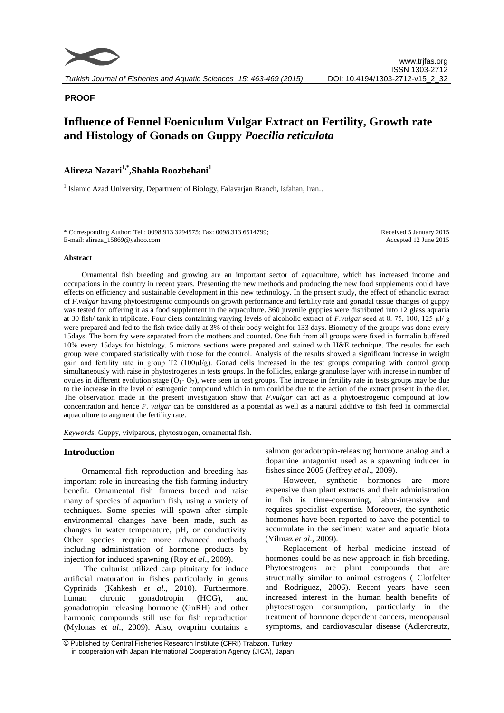

# **PROOF**

# **Influence of Fennel Foeniculum Vulgar Extract on Fertility, Growth rate and Histology of Gonads on Guppy** *Poecilia reticulata*

# **Alireza Nazari1,\*,Shahla Roozbehani<sup>1</sup>**

<sup>1</sup> Islamic Azad University, Department of Biology, Falavarjan Branch, Isfahan, Iran..

\* Corresponding Author: Tel.: 0098.913 3294575; Fax: 0098.313 6514799; E-mail: alireza\_15869@yahoo.com

Received 5 January 2015 Accepted 12 June 2015

#### **Abstract**

Ornamental fish breeding and growing are an important sector of aquaculture, which has increased income and occupations in the country in recent years. Presenting the new methods and producing the new food supplements could have effects on efficiency and sustainable development in this new technology. In the present study, the effect of ethanolic extract of *F.vulgar* having phytoestrogenic compounds on growth performance and fertility rate and gonadal tissue changes of guppy was tested for offering it as a food supplement in the aquaculture. 360 juvenile guppies were distributed into 12 glass aquaria at 30 fish/ tank in triplicate. Four diets containing varying levels of alcoholic extract of *F.vulgar* seed at 0. 75, 100, 125 µl/ g were prepared and fed to the fish twice daily at 3% of their body weight for 133 days. Biometry of the groups was done every 15days. The born fry were separated from the mothers and counted. One fish from all groups were fixed in formalin buffered 10% every 15days for histology. 5 microns sections were prepared and stained with H&E technique. The results for each group were compared statistically with those for the control. Analysis of the results showed a significant increase in weight gain and fertility rate in group T2 (100µl/g). Gonad cells increased in the test groups comparing with control group simultaneously with raise in phytostrogenes in tests groups. In the follicles, enlarge granulose layer with increase in number of ovules in different evolution stage  $(O_1, O_7)$ , were seen in test groups. The increase in fertility rate in tests groups may be due to the increase in the level of estrogenic compound which in turn could be due to the action of the extract present in the diet. The observation made in the present investigation show that *F.vulgar* can act as a phytoestrogenic compound at low concentration and hence *F. vulgar* can be considered as a potential as well as a natural additive to fish feed in commercial aquaculture to augment the fertility rate.

*Keywords*: Guppy, viviparous, phytostrogen, ornamental fish.

# **Introduction**

Ornamental fish reproduction and breeding has important role in increasing the fish farming industry benefit. Ornamental fish farmers breed and raise many of species of aquarium fish, using a variety of techniques. Some species will spawn after simple environmental changes have been made, such as changes in water temperature, pH, or conductivity. Other species require more advanced methods, including administration of hormone products by injection for induced spawning (Roy *et al*., 2009).

The culturist utilized carp pituitary for induce artificial maturation in fishes particularly in genus Cyprinids (Kahkesh *et al*., 2010). Furthermore, human chronic gonadotropin (HCG), and gonadotropin releasing hormone (GnRH) and other harmonic compounds still use for fish reproduction (Mylonas *et al*., 2009). Also, ovaprim contains a salmon gonadotropin-releasing hormone analog and a dopamine antagonist used as a spawning inducer in fishes since 2005 (Jeffrey *et al*., 2009).

However, synthetic hormones are more expensive than plant extracts and their administration in fish is time-consuming, labor-intensive and requires specialist expertise. Moreover, the synthetic hormones have been reported to have the potential to accumulate in the sediment water and aquatic biota (Yilmaz *et al*., 2009).

Replacement of herbal medicine instead of hormones could be as new approach in fish breeding. Phytoestrogens are plant compounds that are structurally similar to animal estrogens ( Clotfelter and Rodriguez, 2006). Recent years have seen increased interest in the human health benefits of phytoestrogen consumption, particularly in the treatment of hormone dependent cancers, menopausal symptoms, and cardiovascular disease (Adlercreutz,

<sup>©</sup> Published by Central Fisheries Research Institute (CFRI) Trabzon, Turkey in cooperation with Japan International Cooperation Agency (JICA), Japan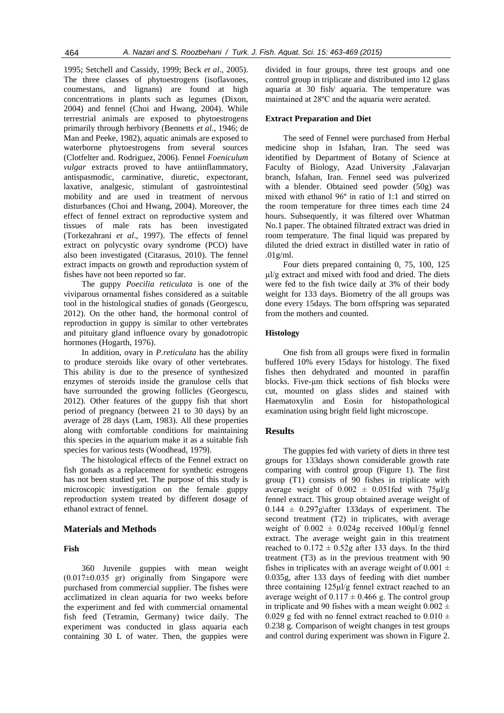1995; Setchell and Cassidy, 1999; Beck *et al*., 2005). The three classes of phytoestrogens (isoflavones, coumestans, and lignans) are found at high concentrations in plants such as legumes (Dixon, 2004) and fennel (Choi and Hwang, 2004). While terrestrial animals are exposed to phytoestrogens primarily through herbivory (Bennetts *et al*., 1946; de Man and Peeke, 1982), aquatic animals are exposed to waterborne phytoestrogens from several sources (Clotfelter and. Rodriguez, 2006). Fennel *Foeniculum vulgar* extracts proved to have antiinflammatory, antispasmodic, carminative, diuretic, expectorant, laxative, analgesic, stimulant of gastrointestinal mobility and are used in treatment of nervous disturbances (Choi and Hwang, 2004). Moreover, the effect of fennel extract on reproductive system and tissues of male rats has been investigated (Torkezahrani *et al*., 1997). The effects of fennel extract on polycystic ovary syndrome (PCO) have also been investigated (Citarasus, 2010). The fennel extract impacts on growth and reproduction system of fishes have not been reported so far.

The guppy *Poecilia reticulata* is one of the viviparous ornamental fishes considered as a suitable tool in the histological studies of gonads (Georgescu, 2012). On the other hand, the hormonal control of reproduction in guppy is similar to other vertebrates and pituitary gland influence ovary by gonadotropic hormones (Hogarth, 1976).

In addition, ovary in *P.reticulata* has the ability to produce steroids like ovary of other vertebrates. This ability is due to the presence of synthesized enzymes of steroids inside the granulose cells that have surrounded the growing follicles (Georgescu, 2012). Other features of the guppy fish that short period of pregnancy (between 21 to 30 days) by an average of 28 days (Lam, 1983). All these properties along with comfortable conditions for maintaining this species in the aquarium make it as a suitable fish species for various tests (Woodhead, 1979).

The histological effects of the Fennel extract on fish gonads as a replacement for synthetic estrogens has not been studied yet. The purpose of this study is microscopic investigation on the female guppy reproduction system treated by different dosage of ethanol extract of fennel.

#### **Materials and Methods**

#### **Fish**

360 Juvenile guppies with mean weight (0.017±0.035 gr) originally from Singapore were purchased from commercial supplier. The fishes were acclimatized in clean aquaria for two weeks before the experiment and fed with commercial ornamental fish feed (Tetramin, Germany) twice daily. The experiment was conducted in glass aquaria each containing 30 L of water. Then, the guppies were divided in four groups, three test groups and one control group in triplicate and distributed into 12 glass aquaria at 30 fish/ aquaria. The temperature was maintained at 28ºC and the aquaria were aerated.

#### **Extract Preparation and Diet**

The seed of Fennel were purchased from Herbal medicine shop in Isfahan, Iran. The seed was identified by Department of Botany of Science at Faculty of Biology, Azad University ,Falavarjan branch, Isfahan, Iran. Fennel seed was pulverized with a blender. Obtained seed powder (50g) was mixed with ethanol 96º in ratio of 1:1 and stirred on the room temperature for three times each time 24 hours. Subsequently, it was filtered over Whatman No.1 paper. The obtained filtrated extract was dried in room temperature. The final liquid was prepared by diluted the dried extract in distilled water in ratio of .01g/ml.

Four diets prepared containing 0, 75, 100, 125 µl/g extract and mixed with food and dried. The diets were fed to the fish twice daily at 3% of their body weight for 133 days. Biometry of the all groups was done every 15days. The born offspring was separated from the mothers and counted.

## **Histology**

One fish from all groups were fixed in formalin buffered 10% every 15days for histology. The fixed fishes then dehydrated and mounted in paraffin blocks. Five-μm thick sections of fish blocks were cut, mounted on glass slides and stained with Haematoxylin and Eosin for histopathological examination using bright field light microscope.

## **Results**

The guppies fed with variety of diets in three test groups for 133days shown considerable growth rate comparing with control group (Figure 1). The first group (T1) consists of 90 fishes in triplicate with average weight of  $0.002 \pm 0.051$  fed with  $75 \mu\text{l/g}$ fennel extract. This group obtained average weight of  $0.144 \pm 0.297$ g\after 133days of experiment. The second treatment (T2) in triplicates, with average weight of  $0.002 \pm 0.024$ g received  $100 \mu l/g$  fennel extract. The average weight gain in this treatment reached to  $0.172 \pm 0.52$ g after 133 days. In the third treatment (T3) as in the previous treatment with 90 fishes in triplicates with an average weight of  $0.001 \pm$ 0.035g, after 133 days of feeding with diet number three containing 125μl/g fennel extract reached to an average weight of  $0.117 \pm 0.466$  g. The control group in triplicate and 90 fishes with a mean weight  $0.002 \pm$ 0.029 g fed with no fennel extract reached to  $0.010 \pm$ 0.238 g. Comparison of weight changes in test groups and control during experiment was shown in Figure 2.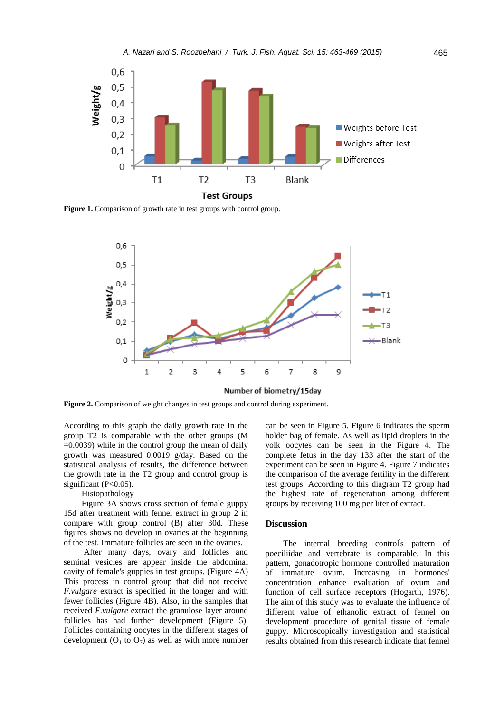

**Figure 1.** Comparison of growth rate in test groups with control group.



**Figure 2.** Comparison of weight changes in test groups and control during experiment.

According to this graph the daily growth rate in the group T2 is comparable with the other groups (M =0.0039) while in the control group the mean of daily growth was measured 0.0019 g/day. Based on the statistical analysis of results, the difference between the growth rate in the T2 group and control group is significant  $(P<0.05)$ .

# Histopathology

Figure 3A shows cross section of female guppy 15d after treatment with fennel extract in group 2 in compare with group control (B) after 30d. These figures shows no develop in ovaries at the beginning of the test. Immature follicles are seen in the ovaries.

After many days, ovary and follicles and seminal vesicles are appear inside the abdominal cavity of female's guppies in test groups. (Figure 4A) This process in control group that did not receive *F.vulgare* extract is specified in the longer and with fewer follicles (Figure 4B). Also, in the samples that received *F.vulgare* extract the granulose layer around follicles has had further development (Figure 5). Follicles containing oocytes in the different stages of development  $(O_1$  to  $O_7$ ) as well as with more number

can be seen in Figure 5. Figure 6 indicates the sperm holder bag of female. As well as lipid droplets in the yolk oocytes can be seen in the Figure 4. The complete fetus in the day 133 after the start of the experiment can be seen in Figure 4. Figure 7 indicates the comparison of the average fertility in the different test groups. According to this diagram T2 group had the highest rate of regeneration among different groups by receiving 100 mg per liter of extract.

# **Discussion**

The internal breeding control's pattern of poeciliidae and vertebrate is comparable. In this pattern, gonadotropic hormone controlled maturation of immature ovum. Increasing in hormones' concentration enhance evaluation of ovum and function of cell surface receptors (Hogarth, 1976). The aim of this study was to evaluate the influence of different value of ethanolic extract of fennel on development procedure of genital tissue of female guppy. Microscopically investigation and statistical results obtained from this research indicate that fennel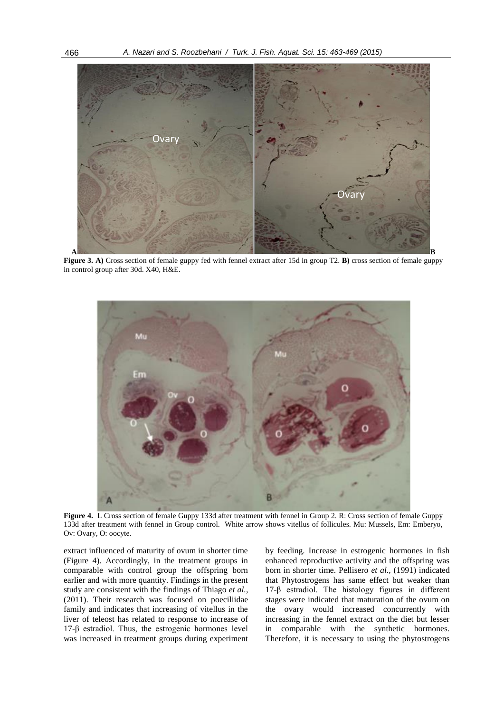

**Figure 3. A)** Cross section of female guppy fed with fennel extract after 15d in group T2. **B)** cross section of female guppy in control group after 30d. X40, H&E.



**Figure 4.** L Cross section of female Guppy 133d after treatment with fennel in Group 2. R: Cross section of female Guppy 133d after treatment with fennel in Group control. White arrow shows vitellus of follicules. Mu: Mussels, Em: Emberyo, Ov: Ovary, O: oocyte.

extract influenced of maturity of ovum in shorter time (Figure 4). Accordingly, in the treatment groups in comparable with control group the offspring born earlier and with more quantity. Findings in the present study are consistent with the findings of Thiago *et al.,* (2011). Their research was focused on poeciliidae family and indicates that increasing of vitellus in the liver of teleost has related to response to increase of 17-β estradiol. Thus, the estrogenic hormones level was increased in treatment groups during experiment by feeding. Increase in estrogenic hormones in fish enhanced reproductive activity and the offspring was born in shorter time. Pellisero *et al.,* (1991) indicated that Phytostrogens has same effect but weaker than 17-β estradiol. The histology figures in different stages were indicated that maturation of the ovum on the ovary would increased concurrently with increasing in the fennel extract on the diet but lesser in comparable with the synthetic hormones. Therefore, it is necessary to using the phytostrogens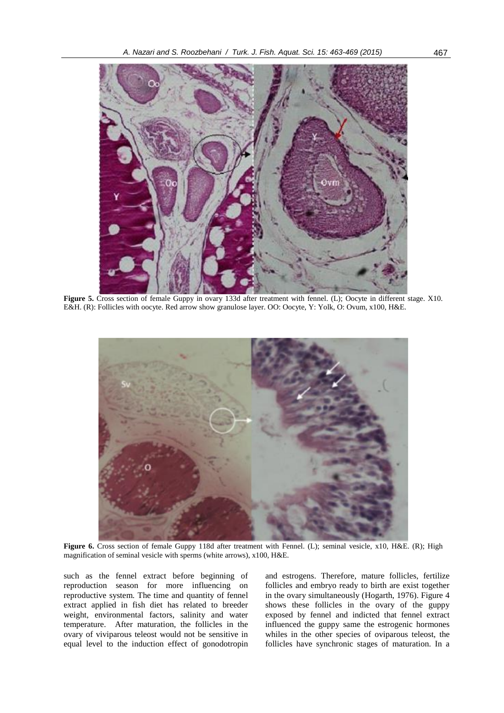

**Figure 5.** Cross section of female Guppy in ovary 133d after treatment with fennel. (L); Oocyte in different stage. X10. E&H. (R): Follicles with oocyte. Red arrow show granulose layer. OO: Oocyte, Y: Yolk, O: Ovum, x100, H&E.



**Figure 6.** Cross section of female Guppy 118d after treatment with Fennel. (L); seminal vesicle, x10, H&E. (R); High magnification of seminal vesicle with sperms (white arrows), x100, H&E.

such as the fennel extract before beginning of reproduction season for more influencing on reproductive system. The time and quantity of fennel extract applied in fish diet has related to breeder weight, environmental factors, salinity and water temperature. After maturation, the follicles in the ovary of viviparous teleost would not be sensitive in equal level to the induction effect of gonodotropin and estrogens. Therefore, mature follicles, fertilize follicles and embryo ready to birth are exist together in the ovary simultaneously (Hogarth, 1976). Figure 4 shows these follicles in the ovary of the guppy exposed by fennel and indicted that fennel extract influenced the guppy same the estrogenic hormones whiles in the other species of oviparous teleost, the follicles have synchronic stages of maturation. In a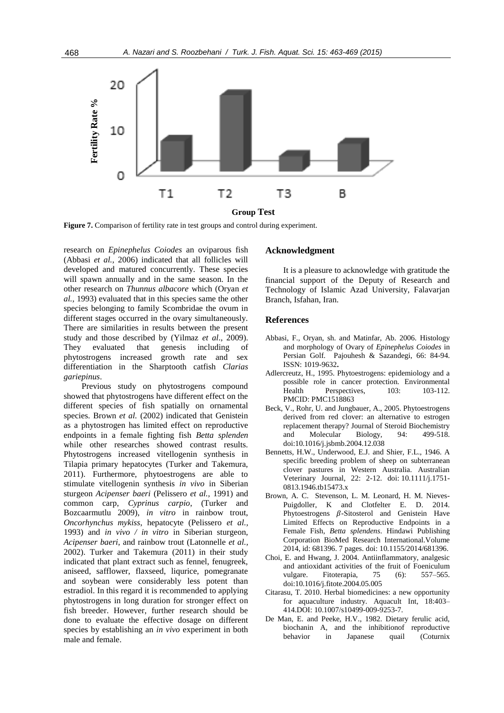

research on *Epinephelus Coiodes* an oviparous fish (Abbasi *et al.,* 2006) indicated that all follicles will developed and matured concurrently. These species will spawn annually and in the same season. In the other research on *Thunnus albacore* which (Oryan *et al.,* 1993) evaluated that in this species same the other species belonging to family Scombridae the ovum in different stages occurred in the ovary simultaneously. There are similarities in results between the present study and those described by (Yilmaz *et al*., 2009). They evaluated that genesis including of phytostrogens increased growth rate and sex differentiation in the Sharptooth catfish *Clarias gariepinus*.

Previous study on phytostrogens compound showed that phytostrogens have different effect on the different species of fish spatially on ornamental species. Brown *et al.* (2002) indicated that Genistein as a phytostrogen has limited effect on reproductive endpoints in a female fighting fish *Betta splenden* while other researches showed contrast results. Phytostrogens increased vitellogenin synthesis in Tilapia primary hepatocytes (Turker and Takemura, 2011). Furthermore, phytoestrogens are able to stimulate vitellogenin synthesis *in vivo* in Siberian sturgeon *Acipenser baeri* (Pelissero *et al.,* 1991) and common carp, *Cyprinus carpio*, (Turker and Bozcaarmutlu 2009), *in vitro* in rainbow trout, *Oncorhynchus mykiss*, hepatocyte (Pelissero *et al.,* 1993) and *in vivo / in vitro* in Siberian sturgeon, *Acipenser baeri*, and rainbow trout (Latonnelle *et al.,* 2002). Turker and Takemura (2011) in their study indicated that plant extract such as fennel, fenugreek, aniseed, safflower, flaxseed, liqurice, pomegranate and soybean were considerably less potent than estradiol. In this regard it is recommended to applying phytostrogens in long duration for stronger effect on fish breeder. However, further research should be done to evaluate the effective dosage on different species by establishing an *in vivo* experiment in both male and female.

# **Acknowledgment**

It is a pleasure to acknowledge with gratitude the financial support of the Deputy of Research and Technology of Islamic Azad University, Falavarjan Branch, Isfahan, Iran.

#### **References**

- Abbasi, F., Oryan, sh. and Matinfar, Ab. 2006. Histology and morphology of Ovary of *Epinephelus Coiodes* in Persian Golf. Pajouhesh & Sazandegi, 66: 84-94. ISSN: 1019-9632**.**
- Adlercreutz, H., 1995. Phytoestrogens: epidemiology and a possible role in cancer protection. Environmental Health Perspectives, 103: 103-112. PMCID: PMC1518863
- Beck, V., Rohr, U. and Jungbauer, A., 2005. Phytoestrogens derived from red clover: an alternative to estrogen replacement therapy? Journal of Steroid Biochemistry and Molecular Biology, 94: 499-518. doi:10.1016/j.jsbmb.2004.12.038
- Bennetts, H.W., Underwood, E.J. and Shier, F.L., 1946. A specific breeding problem of sheep on subterranean clover pastures in Western Australia. Australian Veterinary Journal, 22: 2-12. doi: 10.1111/j.1751- 0813.1946.tb15473.x
- Brown, A. C. Stevenson, L. M. Leonard, H. M. Nieves-Puigdoller, K and Clotfelter E. D. 2014. Phytoestrogens  $\beta$ -Sitosterol and Genistein Have Limited Effects on Reproductive Endpoints in a Female Fish, *Betta splendens*. Hindawi Publishing Corporation BioMed Research International.Volume 2014, id: 681396. 7 pages. doi: 10.1155/2014/681396.
- Choi, E. and Hwang, J. 2004. Antiinflammatory, analgesic and antioxidant activities of the fruit of Foeniculum vulgare. Fitoterapia, 75 (6): 557–565. doi:10.1016/j.fitote.2004.05.005
- Citarasu, T. 2010. Herbal biomedicines: a new opportunity for aquaculture industry. Aquacult Int, 18:403– 414.DOI: 10.1007/s10499-009-9253-7.
- De Man, E. and Peeke, H.V., 1982. Dietary ferulic acid, biochanin A, and the inhibitionof reproductive behavior in Japanese quail (Coturnix